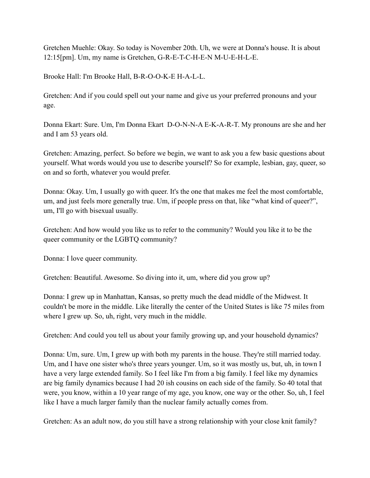Gretchen Muehle: Okay. So today is November 20th. Uh, we were at Donna's house. It is about 12:15[pm]. Um, my name is Gretchen, G-R-E-T-C-H-E-N M-U-E-H-L-E.

Brooke Hall: I'm Brooke Hall, B-R-O-O-K-E H-A-L-L.

Gretchen: And if you could spell out your name and give us your preferred pronouns and your age.

Donna Ekart: Sure. Um, I'm Donna Ekart D-O-N-N-A E-K-A-R-T. My pronouns are she and her and I am 53 years old.

Gretchen: Amazing, perfect. So before we begin, we want to ask you a few basic questions about yourself. What words would you use to describe yourself? So for example, lesbian, gay, queer, so on and so forth, whatever you would prefer.

Donna: Okay. Um, I usually go with queer. It's the one that makes me feel the most comfortable, um, and just feels more generally true. Um, if people press on that, like "what kind of queer?", um, I'll go with bisexual usually.

Gretchen: And how would you like us to refer to the community? Would you like it to be the queer community or the LGBTQ community?

Donna: I love queer community.

Gretchen: Beautiful. Awesome. So diving into it, um, where did you grow up?

Donna: I grew up in Manhattan, Kansas, so pretty much the dead middle of the Midwest. It couldn't be more in the middle. Like literally the center of the United States is like 75 miles from where I grew up. So, uh, right, very much in the middle.

Gretchen: And could you tell us about your family growing up, and your household dynamics?

Donna: Um, sure. Um, I grew up with both my parents in the house. They're still married today. Um, and I have one sister who's three years younger. Um, so it was mostly us, but, uh, in town I have a very large extended family. So I feel like I'm from a big family. I feel like my dynamics are big family dynamics because I had 20 ish cousins on each side of the family. So 40 total that were, you know, within a 10 year range of my age, you know, one way or the other. So, uh, I feel like I have a much larger family than the nuclear family actually comes from.

Gretchen: As an adult now, do you still have a strong relationship with your close knit family?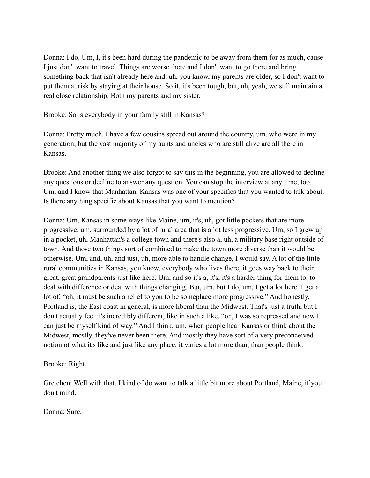Donna: I do. Um, I, it's been hard during the pandemic to be away from them for as much, cause I just don't want to travel. Things are worse there and I don't want to go there and bring something back that isn't already here and, uh, you know, my parents are older, so I don't want to put them at risk by staying at their house. So it, it's been tough, but, uh, yeah, we still maintain a real close relationship. Both my parents and my sister.

Brooke: So is everybody in your family still in Kansas?

Donna: Pretty much. I have a few cousins spread out around the country, um, who were in my generation, but the vast majority of my aunts and uncles who are still alive are all there in Kansas.

Brooke: And another thing we also forgot to say this in the beginning, you are allowed to decline any questions or decline to answer any question. You can stop the interview at any time, too. Um, and I know that Manhattan, Kansas was one of your specifics that you wanted to talk about. Is there anything specific about Kansas that you want to mention?

Donna: Um, Kansas in some ways like Maine, um, it's, uh, got little pockets that are more progressive, um, surrounded by a lot of rural area that is a lot less progressive. Um, so I grew up in a pocket, uh, Manhattan's a college town and there's also a, uh, a military base right outside of town. And those two things sort of combined to make the town more diverse than it would be otherwise. Um, and, uh, and just, uh, more able to handle change, I would say. A lot of the little rural communities in Kansas, you know, everybody who lives there, it goes way back to their great, great grandparents just like here. Um, and so it's a, it's, it's a harder thing for them to, to deal with difference or deal with things changing. But, um, but I do, um, I get a lot here. I get a lot of, "oh, it must be such a relief to you to be someplace more progressive." And honestly, Portland is, the East coast in general, is more liberal than the Midwest. That's just a truth, but I don't actually feel it's incredibly different, like in such a like, "oh, I was so repressed and now I can just be myself kind of way." And I think, um, when people hear Kansas or think about the Midwest, mostly, they've never been there. And mostly they have sort of a very preconceived notion of what it's like and just like any place, it varies a lot more than, than people think.

Brooke: Right.

Gretchen: Well with that, I kind of do want to talk a little bit more about Portland, Maine, if you don't mind.

Donna: Sure.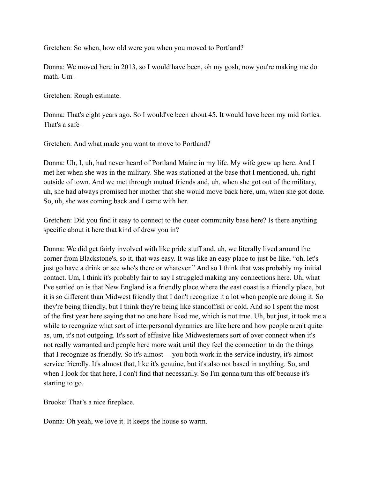Gretchen: So when, how old were you when you moved to Portland?

Donna: We moved here in 2013, so I would have been, oh my gosh, now you're making me do math. Um–

Gretchen: Rough estimate.

Donna: That's eight years ago. So I would've been about 45. It would have been my mid forties. That's a safe–

Gretchen: And what made you want to move to Portland?

Donna: Uh, I, uh, had never heard of Portland Maine in my life. My wife grew up here. And I met her when she was in the military. She was stationed at the base that I mentioned, uh, right outside of town. And we met through mutual friends and, uh, when she got out of the military, uh, she had always promised her mother that she would move back here, um, when she got done. So, uh, she was coming back and I came with her.

Gretchen: Did you find it easy to connect to the queer community base here? Is there anything specific about it here that kind of drew you in?

Donna: We did get fairly involved with like pride stuff and, uh, we literally lived around the corner from Blackstone's, so it, that was easy. It was like an easy place to just be like, "oh, let's just go have a drink or see who's there or whatever." And so I think that was probably my initial contact. Um, I think it's probably fair to say I struggled making any connections here. Uh, what I've settled on is that New England is a friendly place where the east coast is a friendly place, but it is so different than Midwest friendly that I don't recognize it a lot when people are doing it. So they're being friendly, but I think they're being like standoffish or cold. And so I spent the most of the first year here saying that no one here liked me, which is not true. Uh, but just, it took me a while to recognize what sort of interpersonal dynamics are like here and how people aren't quite as, um, it's not outgoing. It's sort of effusive like Midwesterners sort of over connect when it's not really warranted and people here more wait until they feel the connection to do the things that I recognize as friendly. So it's almost— you both work in the service industry, it's almost service friendly. It's almost that, like it's genuine, but it's also not based in anything. So, and when I look for that here, I don't find that necessarily. So I'm gonna turn this off because it's starting to go.

Brooke: That's a nice fireplace.

Donna: Oh yeah, we love it. It keeps the house so warm.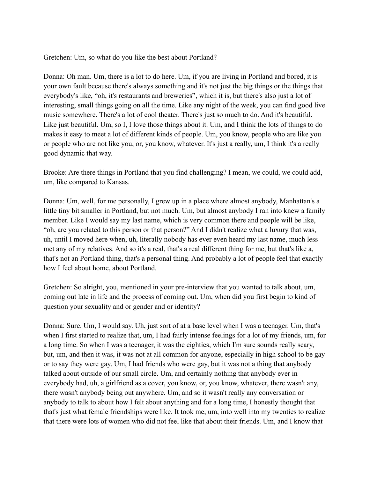Gretchen: Um, so what do you like the best about Portland?

Donna: Oh man. Um, there is a lot to do here. Um, if you are living in Portland and bored, it is your own fault because there's always something and it's not just the big things or the things that everybody's like, "oh, it's restaurants and breweries", which it is, but there's also just a lot of interesting, small things going on all the time. Like any night of the week, you can find good live music somewhere. There's a lot of cool theater. There's just so much to do. And it's beautiful. Like just beautiful. Um, so I, I love those things about it. Um, and I think the lots of things to do makes it easy to meet a lot of different kinds of people. Um, you know, people who are like you or people who are not like you, or, you know, whatever. It's just a really, um, I think it's a really good dynamic that way.

Brooke: Are there things in Portland that you find challenging? I mean, we could, we could add, um, like compared to Kansas.

Donna: Um, well, for me personally, I grew up in a place where almost anybody, Manhattan's a little tiny bit smaller in Portland, but not much. Um, but almost anybody I ran into knew a family member. Like I would say my last name, which is very common there and people will be like, "oh, are you related to this person or that person?" And I didn't realize what a luxury that was, uh, until I moved here when, uh, literally nobody has ever even heard my last name, much less met any of my relatives. And so it's a real, that's a real different thing for me, but that's like a, that's not an Portland thing, that's a personal thing. And probably a lot of people feel that exactly how I feel about home, about Portland.

Gretchen: So alright, you, mentioned in your pre-interview that you wanted to talk about, um, coming out late in life and the process of coming out. Um, when did you first begin to kind of question your sexuality and or gender and or identity?

Donna: Sure. Um, I would say. Uh, just sort of at a base level when I was a teenager. Um, that's when I first started to realize that, um, I had fairly intense feelings for a lot of my friends, um, for a long time. So when I was a teenager, it was the eighties, which I'm sure sounds really scary, but, um, and then it was, it was not at all common for anyone, especially in high school to be gay or to say they were gay. Um, I had friends who were gay, but it was not a thing that anybody talked about outside of our small circle. Um, and certainly nothing that anybody ever in everybody had, uh, a girlfriend as a cover, you know, or, you know, whatever, there wasn't any, there wasn't anybody being out anywhere. Um, and so it wasn't really any conversation or anybody to talk to about how I felt about anything and for a long time, I honestly thought that that's just what female friendships were like. It took me, um, into well into my twenties to realize that there were lots of women who did not feel like that about their friends. Um, and I know that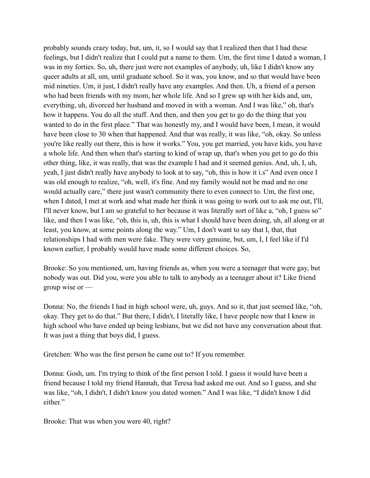probably sounds crazy today, but, um, it, so I would say that I realized then that I had these feelings, but I didn't realize that I could put a name to them. Um, the first time I dated a woman, I was in my forties. So, uh, there just were not examples of anybody, uh, like I didn't know any queer adults at all, um, until graduate school. So it was, you know, and so that would have been mid nineties. Um, it just, I didn't really have any examples. And then. Uh, a friend of a person who had been friends with my mom, her whole life. And so I grew up with her kids and, um, everything, uh, divorced her husband and moved in with a woman. And I was like," oh, that's how it happens. You do all the stuff. And then, and then you get to go do the thing that you wanted to do in the first place." That was honestly my, and I would have been, I mean, it would have been close to 30 when that happened. And that was really, it was like, "oh, okay. So unless you're like really out there, this is how it works." You, you get married, you have kids, you have a whole life. And then when that's starting to kind of wrap up, that's when you get to go do this other thing, like, it was really, that was the example I had and it seemed genius. And, uh, I, uh, yeah, I just didn't really have anybody to look at to say, "oh, this is how it i.s" And even once I was old enough to realize, "oh, well, it's fine. And my family would not be mad and no one would actually care," there just wasn't community there to even connect to. Um, the first one, when I dated, I met at work and what made her think it was going to work out to ask me out, I'll, I'll never know, but I am so grateful to her because it was literally sort of like a, "oh, I guess so" like, and then I was like, "oh, this is, uh, this is what I should have been doing, uh, all along or at least, you know, at some points along the way." Um, I don't want to say that I, that, that relationships I had with men were fake. They were very genuine, but, um, I, I feel like if I'd known earlier, I probably would have made some different choices. So,

Brooke: So you mentioned, um, having friends as, when you were a teenager that were gay, but nobody was out. Did you, were you able to talk to anybody as a teenager about it? Like friend group wise or —

Donna: No, the friends I had in high school were, uh, guys. And so it, that just seemed like, "oh, okay. They get to do that." But there, I didn't, I literally like, I have people now that I knew in high school who have ended up being lesbians, but we did not have any conversation about that. It was just a thing that boys did, I guess.

Gretchen: Who was the first person he came out to? If you remember.

Donna: Gosh, um. I'm trying to think of the first person I told. I guess it would have been a friend because I told my friend Hannah, that Teresa had asked me out. And so I guess, and she was like, "oh, I didn't, I didn't know you dated women." And I was like, "I didn't know I did either."

Brooke: That was when you were 40, right?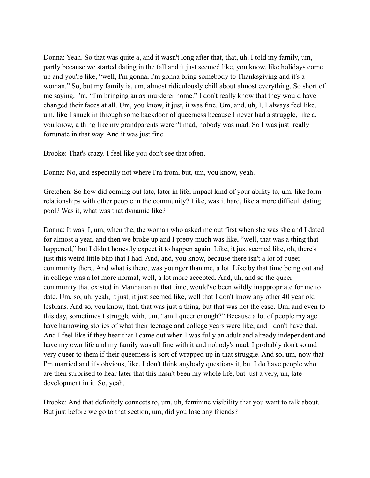Donna: Yeah. So that was quite a, and it wasn't long after that, that, uh, I told my family, um, partly because we started dating in the fall and it just seemed like, you know, like holidays come up and you're like, "well, I'm gonna, I'm gonna bring somebody to Thanksgiving and it's a woman." So, but my family is, um, almost ridiculously chill about almost everything. So short of me saying, I'm, "I'm bringing an ax murderer home." I don't really know that they would have changed their faces at all. Um, you know, it just, it was fine. Um, and, uh, I, I always feel like, um, like I snuck in through some backdoor of queerness because I never had a struggle, like a, you know, a thing like my grandparents weren't mad, nobody was mad. So I was just really fortunate in that way. And it was just fine.

Brooke: That's crazy. I feel like you don't see that often.

Donna: No, and especially not where I'm from, but, um, you know, yeah.

Gretchen: So how did coming out late, later in life, impact kind of your ability to, um, like form relationships with other people in the community? Like, was it hard, like a more difficult dating pool? Was it, what was that dynamic like?

Donna: It was, I, um, when the, the woman who asked me out first when she was she and I dated for almost a year, and then we broke up and I pretty much was like, "well, that was a thing that happened," but I didn't honestly expect it to happen again. Like, it just seemed like, oh, there's just this weird little blip that I had. And, and, you know, because there isn't a lot of queer community there. And what is there, was younger than me, a lot. Like by that time being out and in college was a lot more normal, well, a lot more accepted. And, uh, and so the queer community that existed in Manhattan at that time, would've been wildly inappropriate for me to date. Um, so, uh, yeah, it just, it just seemed like, well that I don't know any other 40 year old lesbians. And so, you know, that, that was just a thing, but that was not the case. Um, and even to this day, sometimes I struggle with, um, "am I queer enough?" Because a lot of people my age have harrowing stories of what their teenage and college years were like, and I don't have that. And I feel like if they hear that I came out when I was fully an adult and already independent and have my own life and my family was all fine with it and nobody's mad. I probably don't sound very queer to them if their queerness is sort of wrapped up in that struggle. And so, um, now that I'm married and it's obvious, like, I don't think anybody questions it, but I do have people who are then surprised to hear later that this hasn't been my whole life, but just a very, uh, late development in it. So, yeah.

Brooke: And that definitely connects to, um, uh, feminine visibility that you want to talk about. But just before we go to that section, um, did you lose any friends?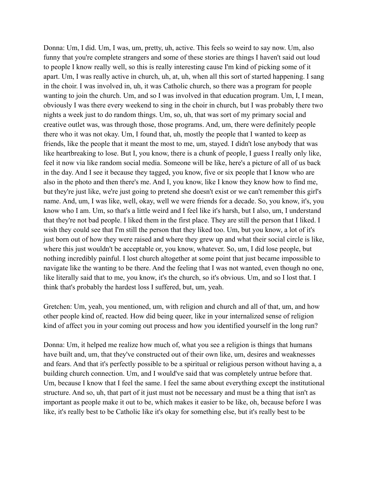Donna: Um, I did. Um, I was, um, pretty, uh, active. This feels so weird to say now. Um, also funny that you're complete strangers and some of these stories are things I haven't said out loud to people I know really well, so this is really interesting cause I'm kind of picking some of it apart. Um, I was really active in church, uh, at, uh, when all this sort of started happening. I sang in the choir. I was involved in, uh, it was Catholic church, so there was a program for people wanting to join the church. Um, and so I was involved in that education program. Um, I, I mean, obviously I was there every weekend to sing in the choir in church, but I was probably there two nights a week just to do random things. Um, so, uh, that was sort of my primary social and creative outlet was, was through those, those programs. And, um, there were definitely people there who it was not okay. Um, I found that, uh, mostly the people that I wanted to keep as friends, like the people that it meant the most to me, um, stayed. I didn't lose anybody that was like heartbreaking to lose. But I, you know, there is a chunk of people, I guess I really only like, feel it now via like random social media. Someone will be like, here's a picture of all of us back in the day. And I see it because they tagged, you know, five or six people that I know who are also in the photo and then there's me. And I, you know, like I know they know how to find me, but they're just like, we're just going to pretend she doesn't exist or we can't remember this girl's name. And, um, I was like, well, okay, well we were friends for a decade. So, you know, it's, you know who I am. Um, so that's a little weird and I feel like it's harsh, but I also, um, I understand that they're not bad people. I liked them in the first place. They are still the person that I liked. I wish they could see that I'm still the person that they liked too. Um, but you know, a lot of it's just born out of how they were raised and where they grew up and what their social circle is like, where this just wouldn't be acceptable or, you know, whatever. So, um, I did lose people, but nothing incredibly painful. I lost church altogether at some point that just became impossible to navigate like the wanting to be there. And the feeling that I was not wanted, even though no one, like literally said that to me, you know, it's the church, so it's obvious. Um, and so I lost that. I think that's probably the hardest loss I suffered, but, um, yeah.

Gretchen: Um, yeah, you mentioned, um, with religion and church and all of that, um, and how other people kind of, reacted. How did being queer, like in your internalized sense of religion kind of affect you in your coming out process and how you identified yourself in the long run?

Donna: Um, it helped me realize how much of, what you see a religion is things that humans have built and, um, that they've constructed out of their own like, um, desires and weaknesses and fears. And that it's perfectly possible to be a spiritual or religious person without having a, a building church connection. Um, and I would've said that was completely untrue before that. Um, because I know that I feel the same. I feel the same about everything except the institutional structure. And so, uh, that part of it just must not be necessary and must be a thing that isn't as important as people make it out to be, which makes it easier to be like, oh, because before I was like, it's really best to be Catholic like it's okay for something else, but it's really best to be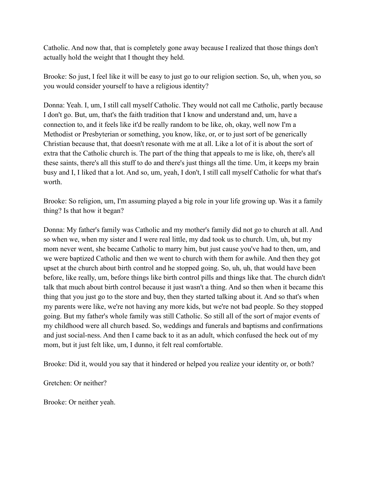Catholic. And now that, that is completely gone away because I realized that those things don't actually hold the weight that I thought they held.

Brooke: So just, I feel like it will be easy to just go to our religion section. So, uh, when you, so you would consider yourself to have a religious identity?

Donna: Yeah. I, um, I still call myself Catholic. They would not call me Catholic, partly because I don't go. But, um, that's the faith tradition that I know and understand and, um, have a connection to, and it feels like it'd be really random to be like, oh, okay, well now I'm a Methodist or Presbyterian or something, you know, like, or, or to just sort of be generically Christian because that, that doesn't resonate with me at all. Like a lot of it is about the sort of extra that the Catholic church is. The part of the thing that appeals to me is like, oh, there's all these saints, there's all this stuff to do and there's just things all the time. Um, it keeps my brain busy and I, I liked that a lot. And so, um, yeah, I don't, I still call myself Catholic for what that's worth.

Brooke: So religion, um, I'm assuming played a big role in your life growing up. Was it a family thing? Is that how it began?

Donna: My father's family was Catholic and my mother's family did not go to church at all. And so when we, when my sister and I were real little, my dad took us to church. Um, uh, but my mom never went, she became Catholic to marry him, but just cause you've had to then, um, and we were baptized Catholic and then we went to church with them for awhile. And then they got upset at the church about birth control and he stopped going. So, uh, uh, that would have been before, like really, um, before things like birth control pills and things like that. The church didn't talk that much about birth control because it just wasn't a thing. And so then when it became this thing that you just go to the store and buy, then they started talking about it. And so that's when my parents were like, we're not having any more kids, but we're not bad people. So they stopped going. But my father's whole family was still Catholic. So still all of the sort of major events of my childhood were all church based. So, weddings and funerals and baptisms and confirmations and just social-ness. And then I came back to it as an adult, which confused the heck out of my mom, but it just felt like, um, I dunno, it felt real comfortable.

Brooke: Did it, would you say that it hindered or helped you realize your identity or, or both?

Gretchen: Or neither?

Brooke: Or neither yeah.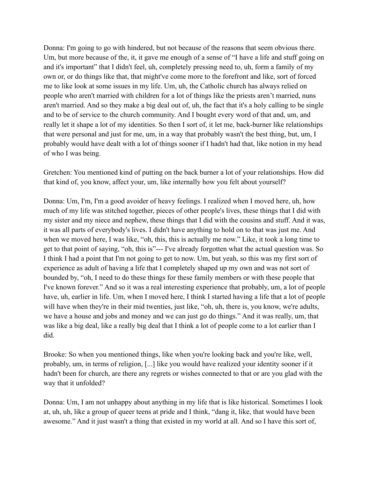Donna: I'm going to go with hindered, but not because of the reasons that seem obvious there. Um, but more because of the, it, it gave me enough of a sense of "I have a life and stuff going on and it's important" that I didn't feel, uh, completely pressing need to, uh, form a family of my own or, or do things like that, that might've come more to the forefront and like, sort of forced me to like look at some issues in my life. Um, uh, the Catholic church has always relied on people who aren't married with children for a lot of things like the priests aren't married, nuns aren't married. And so they make a big deal out of, uh, the fact that it's a holy calling to be single and to be of service to the church community. And I bought every word of that and, um, and really let it shape a lot of my identities. So then I sort of, it let me, back-burner like relationships that were personal and just for me, um, in a way that probably wasn't the best thing, but, um, I probably would have dealt with a lot of things sooner if I hadn't had that, like notion in my head of who I was being.

Gretchen: You mentioned kind of putting on the back burner a lot of your relationships. How did that kind of, you know, affect your, um, like internally how you felt about yourself?

Donna: Um, I'm, I'm a good avoider of heavy feelings. I realized when I moved here, uh, how much of my life was stitched together, pieces of other people's lives, these things that I did with my sister and my niece and nephew, these things that I did with the cousins and stuff. And it was, it was all parts of everybody's lives. I didn't have anything to hold on to that was just me. And when we moved here, I was like, "oh, this, this is actually me now." Like, it took a long time to get to that point of saying, "oh, this is"--- I've already forgotten what the actual question was. So I think I had a point that I'm not going to get to now. Um, but yeah, so this was my first sort of experience as adult of having a life that I completely shaped up my own and was not sort of bounded by, "oh, I need to do these things for these family members or with these people that I've known forever." And so it was a real interesting experience that probably, um, a lot of people have, uh, earlier in life. Um, when I moved here, I think I started having a life that a lot of people will have when they're in their mid twenties, just like, "oh, uh, there is, you know, we're adults, we have a house and jobs and money and we can just go do things." And it was really, um, that was like a big deal, like a really big deal that I think a lot of people come to a lot earlier than I did.

Brooke: So when you mentioned things, like when you're looking back and you're like, well, probably, um, in terms of religion, [...] like you would have realized your identity sooner if it hadn't been for church, are there any regrets or wishes connected to that or are you glad with the way that it unfolded?

Donna: Um, I am not unhappy about anything in my life that is like historical. Sometimes I look at, uh, uh, like a group of queer teens at pride and I think, "dang it, like, that would have been awesome." And it just wasn't a thing that existed in my world at all. And so I have this sort of,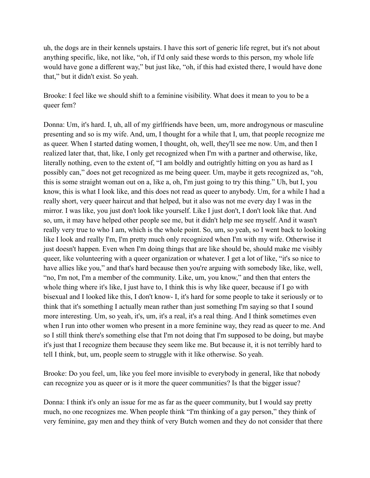uh, the dogs are in their kennels upstairs. I have this sort of generic life regret, but it's not about anything specific, like, not like, "oh, if I'd only said these words to this person, my whole life would have gone a different way," but just like, "oh, if this had existed there, I would have done that," but it didn't exist. So yeah.

Brooke: I feel like we should shift to a feminine visibility. What does it mean to you to be a queer fem?

Donna: Um, it's hard. I, uh, all of my girlfriends have been, um, more androgynous or masculine presenting and so is my wife. And, um, I thought for a while that I, um, that people recognize me as queer. When I started dating women, I thought, oh, well, they'll see me now. Um, and then I realized later that, that, like, I only get recognized when I'm with a partner and otherwise, like, literally nothing, even to the extent of, "I am boldly and outrightly hitting on you as hard as I possibly can," does not get recognized as me being queer. Um, maybe it gets recognized as, "oh, this is some straight woman out on a, like a, oh, I'm just going to try this thing." Uh, but I, you know, this is what I look like, and this does not read as queer to anybody. Um, for a while I had a really short, very queer haircut and that helped, but it also was not me every day I was in the mirror. I was like, you just don't look like yourself. Like I just don't, I don't look like that. And so, um, it may have helped other people see me, but it didn't help me see myself. And it wasn't really very true to who I am, which is the whole point. So, um, so yeah, so I went back to looking like I look and really I'm, I'm pretty much only recognized when I'm with my wife. Otherwise it just doesn't happen. Even when I'm doing things that are like should be, should make me visibly queer, like volunteering with a queer organization or whatever. I get a lot of like, "it's so nice to have allies like you," and that's hard because then you're arguing with somebody like, like, well, "no, I'm not, I'm a member of the community. Like, um, you know," and then that enters the whole thing where it's like, I just have to, I think this is why like queer, because if I go with bisexual and I looked like this, I don't know- I, it's hard for some people to take it seriously or to think that it's something I actually mean rather than just something I'm saying so that I sound more interesting. Um, so yeah, it's, um, it's a real, it's a real thing. And I think sometimes even when I run into other women who present in a more feminine way, they read as queer to me. And so I still think there's something else that I'm not doing that I'm supposed to be doing, but maybe it's just that I recognize them because they seem like me. But because it, it is not terribly hard to tell I think, but, um, people seem to struggle with it like otherwise. So yeah.

Brooke: Do you feel, um, like you feel more invisible to everybody in general, like that nobody can recognize you as queer or is it more the queer communities? Is that the bigger issue?

Donna: I think it's only an issue for me as far as the queer community, but I would say pretty much, no one recognizes me. When people think "I'm thinking of a gay person," they think of very feminine, gay men and they think of very Butch women and they do not consider that there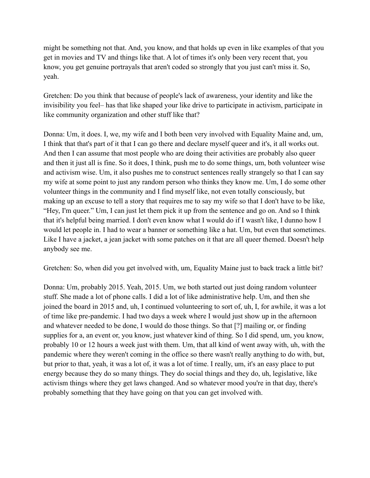might be something not that. And, you know, and that holds up even in like examples of that you get in movies and TV and things like that. A lot of times it's only been very recent that, you know, you get genuine portrayals that aren't coded so strongly that you just can't miss it. So, yeah.

Gretchen: Do you think that because of people's lack of awareness, your identity and like the invisibility you feel– has that like shaped your like drive to participate in activism, participate in like community organization and other stuff like that?

Donna: Um, it does. I, we, my wife and I both been very involved with Equality Maine and, um, I think that that's part of it that I can go there and declare myself queer and it's, it all works out. And then I can assume that most people who are doing their activities are probably also queer and then it just all is fine. So it does, I think, push me to do some things, um, both volunteer wise and activism wise. Um, it also pushes me to construct sentences really strangely so that I can say my wife at some point to just any random person who thinks they know me. Um, I do some other volunteer things in the community and I find myself like, not even totally consciously, but making up an excuse to tell a story that requires me to say my wife so that I don't have to be like, "Hey, I'm queer." Um, I can just let them pick it up from the sentence and go on. And so I think that it's helpful being married. I don't even know what I would do if I wasn't like, I dunno how I would let people in. I had to wear a banner or something like a hat. Um, but even that sometimes. Like I have a jacket, a jean jacket with some patches on it that are all queer themed. Doesn't help anybody see me.

Gretchen: So, when did you get involved with, um, Equality Maine just to back track a little bit?

Donna: Um, probably 2015. Yeah, 2015. Um, we both started out just doing random volunteer stuff. She made a lot of phone calls. I did a lot of like administrative help. Um, and then she joined the board in 2015 and, uh, I continued volunteering to sort of, uh, I, for awhile, it was a lot of time like pre-pandemic. I had two days a week where I would just show up in the afternoon and whatever needed to be done, I would do those things. So that [?] mailing or, or finding supplies for a, an event or, you know, just whatever kind of thing. So I did spend, um, you know, probably 10 or 12 hours a week just with them. Um, that all kind of went away with, uh, with the pandemic where they weren't coming in the office so there wasn't really anything to do with, but, but prior to that, yeah, it was a lot of, it was a lot of time. I really, um, it's an easy place to put energy because they do so many things. They do social things and they do, uh, legislative, like activism things where they get laws changed. And so whatever mood you're in that day, there's probably something that they have going on that you can get involved with.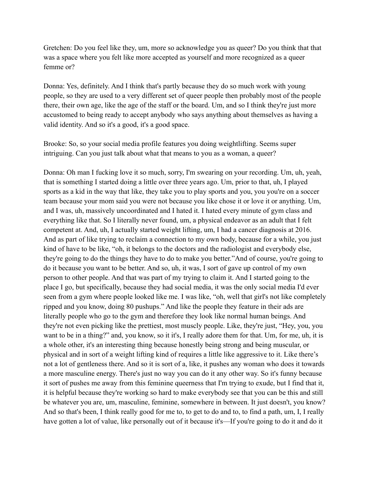Gretchen: Do you feel like they, um, more so acknowledge you as queer? Do you think that that was a space where you felt like more accepted as yourself and more recognized as a queer femme or?

Donna: Yes, definitely. And I think that's partly because they do so much work with young people, so they are used to a very different set of queer people then probably most of the people there, their own age, like the age of the staff or the board. Um, and so I think they're just more accustomed to being ready to accept anybody who says anything about themselves as having a valid identity. And so it's a good, it's a good space.

Brooke: So, so your social media profile features you doing weightlifting. Seems super intriguing. Can you just talk about what that means to you as a woman, a queer?

Donna: Oh man I fucking love it so much, sorry, I'm swearing on your recording. Um, uh, yeah, that is something I started doing a little over three years ago. Um, prior to that, uh, I played sports as a kid in the way that like, they take you to play sports and you, you you're on a soccer team because your mom said you were not because you like chose it or love it or anything. Um, and I was, uh, massively uncoordinated and I hated it. I hated every minute of gym class and everything like that. So I literally never found, um, a physical endeavor as an adult that I felt competent at. And, uh, I actually started weight lifting, um, I had a cancer diagnosis at 2016. And as part of like trying to reclaim a connection to my own body, because for a while, you just kind of have to be like, "oh, it belongs to the doctors and the radiologist and everybody else, they're going to do the things they have to do to make you better."And of course, you're going to do it because you want to be better. And so, uh, it was, I sort of gave up control of my own person to other people. And that was part of my trying to claim it. And I started going to the place I go, but specifically, because they had social media, it was the only social media I'd ever seen from a gym where people looked like me. I was like, "oh, well that girl's not like completely ripped and you know, doing 80 pushups." And like the people they feature in their ads are literally people who go to the gym and therefore they look like normal human beings. And they're not even picking like the prettiest, most muscly people. Like, they're just, "Hey, you, you want to be in a thing?" and, you know, so it it's, I really adore them for that. Um, for me, uh, it is a whole other, it's an interesting thing because honestly being strong and being muscular, or physical and in sort of a weight lifting kind of requires a little like aggressive to it. Like there's not a lot of gentleness there. And so it is sort of a, like, it pushes any woman who does it towards a more masculine energy. There's just no way you can do it any other way. So it's funny because it sort of pushes me away from this feminine queerness that I'm trying to exude, but I find that it, it is helpful because they're working so hard to make everybody see that you can be this and still be whatever you are, um, masculine, feminine, somewhere in between. It just doesn't, you know? And so that's been, I think really good for me to, to get to do and to, to find a path, um, I, I really have gotten a lot of value, like personally out of it because it's—If you're going to do it and do it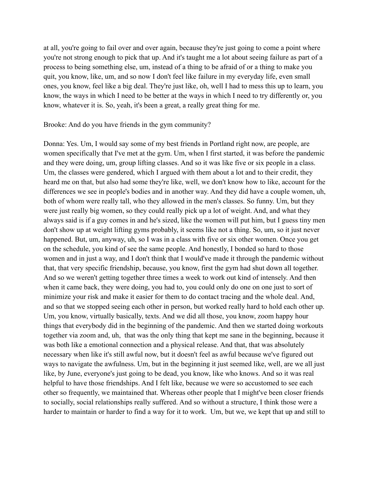at all, you're going to fail over and over again, because they're just going to come a point where you're not strong enough to pick that up. And it's taught me a lot about seeing failure as part of a process to being something else, um, instead of a thing to be afraid of or a thing to make you quit, you know, like, um, and so now I don't feel like failure in my everyday life, even small ones, you know, feel like a big deal. They're just like, oh, well I had to mess this up to learn, you know, the ways in which I need to be better at the ways in which I need to try differently or, you know, whatever it is. So, yeah, it's been a great, a really great thing for me.

Brooke: And do you have friends in the gym community?

Donna: Yes. Um, I would say some of my best friends in Portland right now, are people, are women specifically that I've met at the gym. Um, when I first started, it was before the pandemic and they were doing, um, group lifting classes. And so it was like five or six people in a class. Um, the classes were gendered, which I argued with them about a lot and to their credit, they heard me on that, but also had some they're like, well, we don't know how to like, account for the differences we see in people's bodies and in another way. And they did have a couple women, uh, both of whom were really tall, who they allowed in the men's classes. So funny. Um, but they were just really big women, so they could really pick up a lot of weight. And, and what they always said is if a guy comes in and he's sized, like the women will put him, but I guess tiny men don't show up at weight lifting gyms probably, it seems like not a thing. So, um, so it just never happened. But, um, anyway, uh, so I was in a class with five or six other women. Once you get on the schedule, you kind of see the same people. And honestly, I bonded so hard to those women and in just a way, and I don't think that I would've made it through the pandemic without that, that very specific friendship, because, you know, first the gym had shut down all together. And so we weren't getting together three times a week to work out kind of intensely. And then when it came back, they were doing, you had to, you could only do one on one just to sort of minimize your risk and make it easier for them to do contact tracing and the whole deal. And, and so that we stopped seeing each other in person, but worked really hard to hold each other up. Um, you know, virtually basically, texts. And we did all those, you know, zoom happy hour things that everybody did in the beginning of the pandemic. And then we started doing workouts together via zoom and, uh, that was the only thing that kept me sane in the beginning, because it was both like a emotional connection and a physical release. And that, that was absolutely necessary when like it's still awful now, but it doesn't feel as awful because we've figured out ways to navigate the awfulness. Um, but in the beginning it just seemed like, well, are we all just like, by June, everyone's just going to be dead, you know, like who knows. And so it was real helpful to have those friendships. And I felt like, because we were so accustomed to see each other so frequently, we maintained that. Whereas other people that I might've been closer friends to socially, social relationships really suffered. And so without a structure, I think those were a harder to maintain or harder to find a way for it to work. Um, but we, we kept that up and still to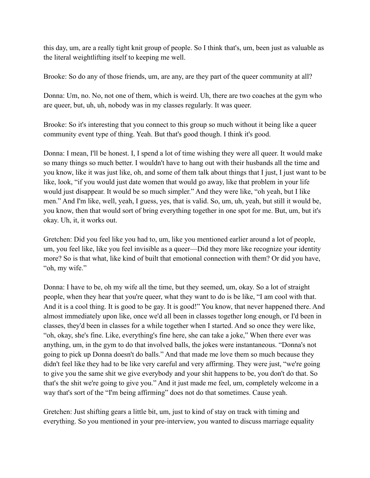this day, um, are a really tight knit group of people. So I think that's, um, been just as valuable as the literal weightlifting itself to keeping me well.

Brooke: So do any of those friends, um, are any, are they part of the queer community at all?

Donna: Um, no. No, not one of them, which is weird. Uh, there are two coaches at the gym who are queer, but, uh, uh, nobody was in my classes regularly. It was queer.

Brooke: So it's interesting that you connect to this group so much without it being like a queer community event type of thing. Yeah. But that's good though. I think it's good.

Donna: I mean, I'll be honest. I, I spend a lot of time wishing they were all queer. It would make so many things so much better. I wouldn't have to hang out with their husbands all the time and you know, like it was just like, oh, and some of them talk about things that I just, I just want to be like, look, "if you would just date women that would go away, like that problem in your life would just disappear. It would be so much simpler." And they were like, "oh yeah, but I like men." And I'm like, well, yeah, I guess, yes, that is valid. So, um, uh, yeah, but still it would be, you know, then that would sort of bring everything together in one spot for me. But, um, but it's okay. Uh, it, it works out.

Gretchen: Did you feel like you had to, um, like you mentioned earlier around a lot of people, um, you feel like, like you feel invisible as a queer—Did they more like recognize your identity more? So is that what, like kind of built that emotional connection with them? Or did you have, "oh, my wife."

Donna: I have to be, oh my wife all the time, but they seemed, um, okay. So a lot of straight people, when they hear that you're queer, what they want to do is be like, "I am cool with that. And it is a cool thing. It is good to be gay. It is good!" You know, that never happened there. And almost immediately upon like, once we'd all been in classes together long enough, or I'd been in classes, they'd been in classes for a while together when I started. And so once they were like, "oh, okay, she's fine. Like, everything's fine here, she can take a joke," When there ever was anything, um, in the gym to do that involved balls, the jokes were instantaneous. "Donna's not going to pick up Donna doesn't do balls." And that made me love them so much because they didn't feel like they had to be like very careful and very affirming. They were just, "we're going to give you the same shit we give everybody and your shit happens to be, you don't do that. So that's the shit we're going to give you." And it just made me feel, um, completely welcome in a way that's sort of the "I'm being affirming" does not do that sometimes. Cause yeah.

Gretchen: Just shifting gears a little bit, um, just to kind of stay on track with timing and everything. So you mentioned in your pre-interview, you wanted to discuss marriage equality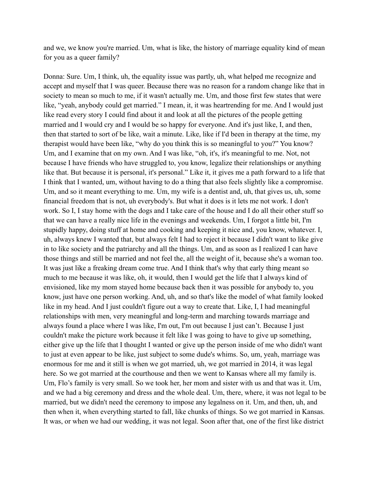and we, we know you're married. Um, what is like, the history of marriage equality kind of mean for you as a queer family?

Donna: Sure. Um, I think, uh, the equality issue was partly, uh, what helped me recognize and accept and myself that I was queer. Because there was no reason for a random change like that in society to mean so much to me, if it wasn't actually me. Um, and those first few states that were like, "yeah, anybody could get married." I mean, it, it was heartrending for me. And I would just like read every story I could find about it and look at all the pictures of the people getting married and I would cry and I would be so happy for everyone. And it's just like, I, and then, then that started to sort of be like, wait a minute. Like, like if I'd been in therapy at the time, my therapist would have been like, "why do you think this is so meaningful to you?" You know? Um, and I examine that on my own. And I was like, "oh, it's, it's meaningful to me. Not, not because I have friends who have struggled to, you know, legalize their relationships or anything like that. But because it is personal, it's personal." Like it, it gives me a path forward to a life that I think that I wanted, um, without having to do a thing that also feels slightly like a compromise. Um, and so it meant everything to me. Um, my wife is a dentist and, uh, that gives us, uh, some financial freedom that is not, uh everybody's. But what it does is it lets me not work. I don't work. So I, I stay home with the dogs and I take care of the house and I do all their other stuff so that we can have a really nice life in the evenings and weekends. Um, I forgot a little bit, I'm stupidly happy, doing stuff at home and cooking and keeping it nice and, you know, whatever. I, uh, always knew I wanted that, but always felt I had to reject it because I didn't want to like give in to like society and the patriarchy and all the things. Um, and as soon as I realized I can have those things and still be married and not feel the, all the weight of it, because she's a woman too. It was just like a freaking dream come true. And I think that's why that early thing meant so much to me because it was like, oh, it would, then I would get the life that I always kind of envisioned, like my mom stayed home because back then it was possible for anybody to, you know, just have one person working. And, uh, and so that's like the model of what family looked like in my head. And I just couldn't figure out a way to create that. Like, I, I had meaningful relationships with men, very meaningful and long-term and marching towards marriage and always found a place where I was like, I'm out, I'm out because I just can't. Because I just couldn't make the picture work because it felt like I was going to have to give up something, either give up the life that I thought I wanted or give up the person inside of me who didn't want to just at even appear to be like, just subject to some dude's whims. So, um, yeah, marriage was enormous for me and it still is when we got married, uh, we got married in 2014, it was legal here. So we got married at the courthouse and then we went to Kansas where all my family is. Um, Flo's family is very small. So we took her, her mom and sister with us and that was it. Um, and we had a big ceremony and dress and the whole deal. Um, there, where, it was not legal to be married, but we didn't need the ceremony to impose any legalness on it. Um, and then, uh, and then when it, when everything started to fall, like chunks of things. So we got married in Kansas. It was, or when we had our wedding, it was not legal. Soon after that, one of the first like district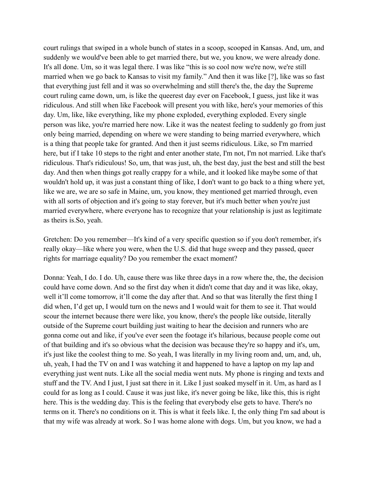court rulings that swiped in a whole bunch of states in a scoop, scooped in Kansas. And, um, and suddenly we would've been able to get married there, but we, you know, we were already done. It's all done. Um, so it was legal there. I was like "this is so cool now we're now, we're still married when we go back to Kansas to visit my family." And then it was like [?], like was so fast that everything just fell and it was so overwhelming and still there's the, the day the Supreme court ruling came down, um, is like the queerest day ever on Facebook, I guess, just like it was ridiculous. And still when like Facebook will present you with like, here's your memories of this day. Um, like, like everything, like my phone exploded, everything exploded. Every single person was like, you're married here now. Like it was the neatest feeling to suddenly go from just only being married, depending on where we were standing to being married everywhere, which is a thing that people take for granted. And then it just seems ridiculous. Like, so I'm married here, but if I take 10 steps to the right and enter another state, I'm not, I'm not married. Like that's ridiculous. That's ridiculous! So, um, that was just, uh, the best day, just the best and still the best day. And then when things got really crappy for a while, and it looked like maybe some of that wouldn't hold up, it was just a constant thing of like, I don't want to go back to a thing where yet, like we are, we are so safe in Maine, um, you know, they mentioned get married through, even with all sorts of objection and it's going to stay forever, but it's much better when you're just married everywhere, where everyone has to recognize that your relationship is just as legitimate as theirs is.So, yeah.

Gretchen: Do you remember—It's kind of a very specific question so if you don't remember, it's really okay—like where you were, when the U.S. did that huge sweep and they passed, queer rights for marriage equality? Do you remember the exact moment?

Donna: Yeah, I do. I do. Uh, cause there was like three days in a row where the, the, the decision could have come down. And so the first day when it didn't come that day and it was like, okay, well it'll come tomorrow, it'll come the day after that. And so that was literally the first thing I did when, I'd get up, I would turn on the news and I would wait for them to see it. That would scour the internet because there were like, you know, there's the people like outside, literally outside of the Supreme court building just waiting to hear the decision and runners who are gonna come out and like, if you've ever seen the footage it's hilarious, because people come out of that building and it's so obvious what the decision was because they're so happy and it's, um, it's just like the coolest thing to me. So yeah, I was literally in my living room and, um, and, uh, uh, yeah, I had the TV on and I was watching it and happened to have a laptop on my lap and everything just went nuts. Like all the social media went nuts. My phone is ringing and texts and stuff and the TV. And I just, I just sat there in it. Like I just soaked myself in it. Um, as hard as I could for as long as I could. Cause it was just like, it's never going be like, like this, this is right here. This is the wedding day. This is the feeling that everybody else gets to have. There's no terms on it. There's no conditions on it. This is what it feels like. I, the only thing I'm sad about is that my wife was already at work. So I was home alone with dogs. Um, but you know, we had a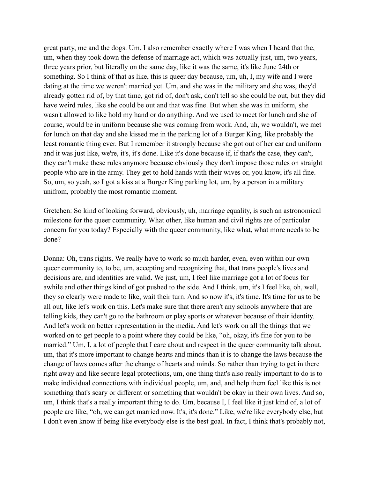great party, me and the dogs. Um, I also remember exactly where I was when I heard that the, um, when they took down the defense of marriage act, which was actually just, um, two years, three years prior, but literally on the same day, like it was the same, it's like June 24th or something. So I think of that as like, this is queer day because, um, uh, I, my wife and I were dating at the time we weren't married yet. Um, and she was in the military and she was, they'd already gotten rid of, by that time, got rid of, don't ask, don't tell so she could be out, but they did have weird rules, like she could be out and that was fine. But when she was in uniform, she wasn't allowed to like hold my hand or do anything. And we used to meet for lunch and she of course, would be in uniform because she was coming from work. And, uh, we wouldn't, we met for lunch on that day and she kissed me in the parking lot of a Burger King, like probably the least romantic thing ever. But I remember it strongly because she got out of her car and uniform and it was just like, we're, it's, it's done. Like it's done because if, if that's the case, they can't, they can't make these rules anymore because obviously they don't impose those rules on straight people who are in the army. They get to hold hands with their wives or, you know, it's all fine. So, um, so yeah, so I got a kiss at a Burger King parking lot, um, by a person in a military unifrom, probably the most romantic moment.

Gretchen: So kind of looking forward, obviously, uh, marriage equality, is such an astronomical milestone for the queer community. What other, like human and civil rights are of particular concern for you today? Especially with the queer community, like what, what more needs to be done?

Donna: Oh, trans rights. We really have to work so much harder, even, even within our own queer community to, to be, um, accepting and recognizing that, that trans people's lives and decisions are, and identities are valid. We just, um, I feel like marriage got a lot of focus for awhile and other things kind of got pushed to the side. And I think, um, it's I feel like, oh, well, they so clearly were made to like, wait their turn. And so now it's, it's time. It's time for us to be all out, like let's work on this. Let's make sure that there aren't any schools anywhere that are telling kids, they can't go to the bathroom or play sports or whatever because of their identity. And let's work on better representation in the media. And let's work on all the things that we worked on to get people to a point where they could be like, "oh, okay, it's fine for you to be married." Um, I, a lot of people that I care about and respect in the queer community talk about, um, that it's more important to change hearts and minds than it is to change the laws because the change of laws comes after the change of hearts and minds. So rather than trying to get in there right away and like secure legal protections, um, one thing that's also really important to do is to make individual connections with individual people, um, and, and help them feel like this is not something that's scary or different or something that wouldn't be okay in their own lives. And so, um, I think that's a really important thing to do. Um, because I, I feel like it just kind of, a lot of people are like, "oh, we can get married now. It's, it's done." Like, we're like everybody else, but I don't even know if being like everybody else is the best goal. In fact, I think that's probably not,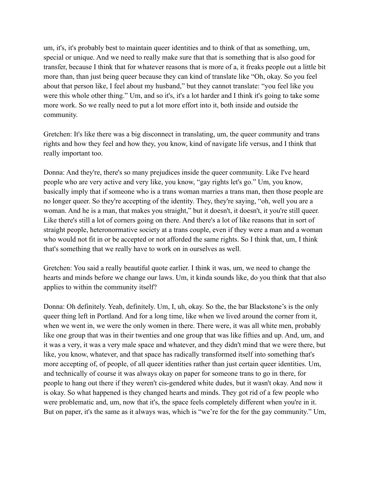um, it's, it's probably best to maintain queer identities and to think of that as something, um, special or unique. And we need to really make sure that that is something that is also good for transfer, because I think that for whatever reasons that is more of a, it freaks people out a little bit more than, than just being queer because they can kind of translate like "Oh, okay. So you feel about that person like, I feel about my husband," but they cannot translate: "you feel like you were this whole other thing." Um, and so it's, it's a lot harder and I think it's going to take some more work. So we really need to put a lot more effort into it, both inside and outside the community.

Gretchen: It's like there was a big disconnect in translating, um, the queer community and trans rights and how they feel and how they, you know, kind of navigate life versus, and I think that really important too.

Donna: And they're, there's so many prejudices inside the queer community. Like I've heard people who are very active and very like, you know, "gay rights let's go." Um, you know, basically imply that if someone who is a trans woman marries a trans man, then those people are no longer queer. So they're accepting of the identity. They, they're saying, "oh, well you are a woman. And he is a man, that makes you straight," but it doesn't, it doesn't, it you're still queer. Like there's still a lot of corners going on there. And there's a lot of like reasons that in sort of straight people, heteronormative society at a trans couple, even if they were a man and a woman who would not fit in or be accepted or not afforded the same rights. So I think that, um, I think that's something that we really have to work on in ourselves as well.

Gretchen: You said a really beautiful quote earlier. I think it was, um, we need to change the hearts and minds before we change our laws. Um, it kinda sounds like, do you think that that also applies to within the community itself?

Donna: Oh definitely. Yeah, definitely. Um, I, uh, okay. So the, the bar Blackstone's is the only queer thing left in Portland. And for a long time, like when we lived around the corner from it, when we went in, we were the only women in there. There were, it was all white men, probably like one group that was in their twenties and one group that was like fifties and up. And, um, and it was a very, it was a very male space and whatever, and they didn't mind that we were there, but like, you know, whatever, and that space has radically transformed itself into something that's more accepting of, of people, of all queer identities rather than just certain queer identities. Um, and technically of course it was always okay on paper for someone trans to go in there, for people to hang out there if they weren't cis-gendered white dudes, but it wasn't okay. And now it is okay. So what happened is they changed hearts and minds. They got rid of a few people who were problematic and, um, now that it's, the space feels completely different when you're in it. But on paper, it's the same as it always was, which is "we're for the for the gay community." Um,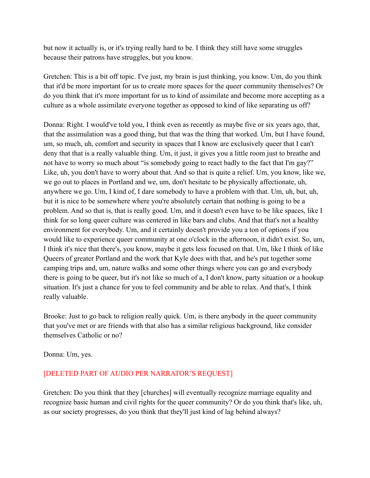but now it actually is, or it's trying really hard to be. I think they still have some struggles because their patrons have struggles, but you know.

Gretchen: This is a bit off topic. I've just, my brain is just thinking, you know. Um, do you think that it'd be more important for us to create more spaces for the queer community themselves? Or do you think that it's more important for us to kind of assimilate and become more accepting as a culture as a whole assimilate everyone together as opposed to kind of like separating us off?

Donna: Right. I would've told you, I think even as recently as maybe five or six years ago, that, that the assimulation was a good thing, but that was the thing that worked. Um, but I have found, um, so much, uh, comfort and security in spaces that I know are exclusively queer that I can't deny that that is a really valuable thing. Um, it just, it gives you a little room just to breathe and not have to worry so much about "is somebody going to react badly to the fact that I'm gay?" Like, uh, you don't have to worry about that. And so that is quite a relief. Um, you know, like we, we go out to places in Portland and we, um, don't hesitate to be physically affectionate, uh, anywhere we go. Um, I kind of, I dare somebody to have a problem with that. Um, uh, but, uh, but it is nice to be somewhere where you're absolutely certain that nothing is going to be a problem. And so that is, that is really good. Um, and it doesn't even have to be like spaces, like I think for so long queer culture was centered in like bars and clubs. And that that's not a healthy environment for everybody. Um, and it certainly doesn't provide you a ton of options if you would like to experience queer community at one o'clock in the afternoon, it didn't exist. So, um, I think it's nice that there's, you know, maybe it gets less focused on that. Um, like I think of like Queers of greater Portland and the work that Kyle does with that, and he's put together some camping trips and, um, nature walks and some other things where you can go and everybody there is going to be queer, but it's not like so much of a, I don't know, party situation or a hookup situation. It's just a chance for you to feel community and be able to relax. And that's, I think really valuable.

Brooke: Just to go back to religion really quick. Um, is there anybody in the queer community that you've met or are friends with that also has a similar religious background, like consider themselves Catholic or no?

Donna: Um, yes.

## [DELETED PART OF AUDIO PER NARRATOR'S REQUEST]

Gretchen: Do you think that they [churches] will eventually recognize marriage equality and recognize basic human and civil rights for the queer community? Or do you think that's like, uh, as our society progresses, do you think that they'll just kind of lag behind always?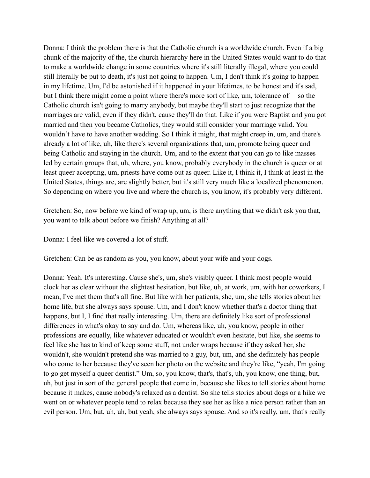Donna: I think the problem there is that the Catholic church is a worldwide church. Even if a big chunk of the majority of the, the church hierarchy here in the United States would want to do that to make a worldwide change in some countries where it's still literally illegal, where you could still literally be put to death, it's just not going to happen. Um, I don't think it's going to happen in my lifetime. Um, I'd be astonished if it happened in your lifetimes, to be honest and it's sad, but I think there might come a point where there's more sort of like, um, tolerance of— so the Catholic church isn't going to marry anybody, but maybe they'll start to just recognize that the marriages are valid, even if they didn't, cause they'll do that. Like if you were Baptist and you got married and then you became Catholics, they would still consider your marriage valid. You wouldn't have to have another wedding. So I think it might, that might creep in, um, and there's already a lot of like, uh, like there's several organizations that, um, promote being queer and being Catholic and staying in the church. Um, and to the extent that you can go to like masses led by certain groups that, uh, where, you know, probably everybody in the church is queer or at least queer accepting, um, priests have come out as queer. Like it, I think it, I think at least in the United States, things are, are slightly better, but it's still very much like a localized phenomenon. So depending on where you live and where the church is, you know, it's probably very different.

Gretchen: So, now before we kind of wrap up, um, is there anything that we didn't ask you that, you want to talk about before we finish? Anything at all?

Donna: I feel like we covered a lot of stuff.

Gretchen: Can be as random as you, you know, about your wife and your dogs.

Donna: Yeah. It's interesting. Cause she's, um, she's visibly queer. I think most people would clock her as clear without the slightest hesitation, but like, uh, at work, um, with her coworkers, I mean, I've met them that's all fine. But like with her patients, she, um, she tells stories about her home life, but she always says spouse. Um, and I don't know whether that's a doctor thing that happens, but I, I find that really interesting. Um, there are definitely like sort of professional differences in what's okay to say and do. Um, whereas like, uh, you know, people in other professions are equally, like whatever educated or wouldn't even hesitate, but like, she seems to feel like she has to kind of keep some stuff, not under wraps because if they asked her, she wouldn't, she wouldn't pretend she was married to a guy, but, um, and she definitely has people who come to her because they've seen her photo on the website and they're like, "yeah, I'm going to go get myself a queer dentist." Um, so, you know, that's, that's, uh, you know, one thing, but, uh, but just in sort of the general people that come in, because she likes to tell stories about home because it makes, cause nobody's relaxed as a dentist. So she tells stories about dogs or a hike we went on or whatever people tend to relax because they see her as like a nice person rather than an evil person. Um, but, uh, uh, but yeah, she always says spouse. And so it's really, um, that's really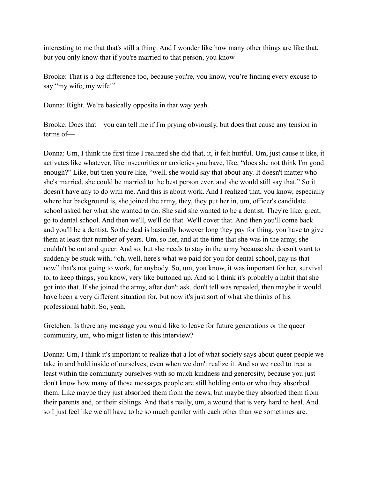interesting to me that that's still a thing. And I wonder like how many other things are like that, but you only know that if you're married to that person, you know–

Brooke: That is a big difference too, because you're, you know, you're finding every excuse to say "my wife, my wife!"

Donna: Right. We're basically opposite in that way yeah.

Brooke: Does that—you can tell me if I'm prying obviously, but does that cause any tension in terms of—

Donna: Um, I think the first time I realized she did that, it, it felt hurtful. Um, just cause it like, it activates like whatever, like insecurities or anxieties you have, like, "does she not think I'm good enough?" Like, but then you're like, "well, she would say that about any. It doesn't matter who she's married, she could be married to the best person ever, and she would still say that." So it doesn't have any to do with me. And this is about work. And I realized that, you know, especially where her background is, she joined the army, they, they put her in, um, officer's candidate school asked her what she wanted to do. She said she wanted to be a dentist. They're like, great, go to dental school. And then we'll, we'll do that. We'll cover that. And then you'll come back and you'll be a dentist. So the deal is basically however long they pay for thing, you have to give them at least that number of years. Um, so her, and at the time that she was in the army, she couldn't be out and queer. And so, but she needs to stay in the army because she doesn't want to suddenly be stuck with, "oh, well, here's what we paid for you for dental school, pay us that now" that's not going to work, for anybody. So, um, you know, it was important for her, survival to, to keep things, you know, very like buttoned up. And so I think it's probably a habit that she got into that. If she joined the army, after don't ask, don't tell was repealed, then maybe it would have been a very different situation for, but now it's just sort of what she thinks of his professional habit. So, yeah.

Gretchen: Is there any message you would like to leave for future generations or the queer community, um, who might listen to this interview?

Donna: Um, I think it's important to realize that a lot of what society says about queer people we take in and hold inside of ourselves, even when we don't realize it. And so we need to treat at least within the community ourselves with so much kindness and generosity, because you just don't know how many of those messages people are still holding onto or who they absorbed them. Like maybe they just absorbed them from the news, but maybe they absorbed them from their parents and, or their siblings. And that's really, um, a wound that is very hard to heal. And so I just feel like we all have to be so much gentler with each other than we sometimes are.